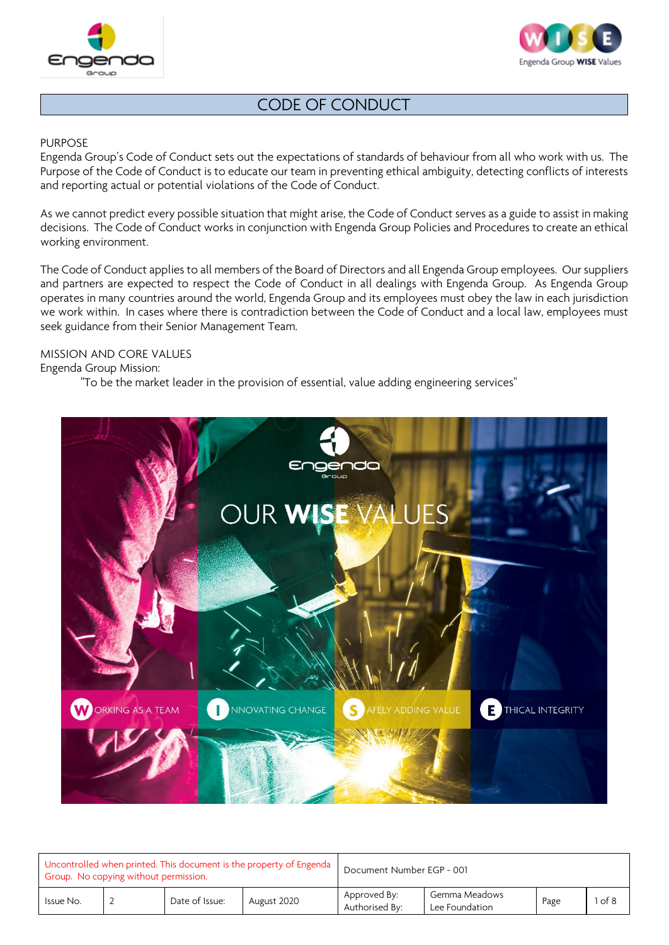



### PURPOSE

Engenda Group's Code of Conduct sets out the expectations of standards of behaviour from all who work with us. The Purpose of the Code of Conduct is to educate our team in preventing ethical ambiguity, detecting conflicts of interests and reporting actual or potential violations of the Code of Conduct.

As we cannot predict every possible situation that might arise, the Code of Conduct serves as a guide to assist in making decisions. The Code of Conduct works in conjunction with Engenda Group Policies and Procedures to create an ethical working environment.

The Code of Conduct applies to all members of the Board of Directors and all Engenda Group employees. Our suppliers and partners are expected to respect the Code of Conduct in all dealings with Engenda Group. As Engenda Group operates in many countries around the world, Engenda Group and its employees must obey the law in each jurisdiction we work within. In cases where there is contradiction between the Code of Conduct and a local law, employees must seek guidance from their Senior Management Team.

### MISSION AND CORE VALUES

Engenda Group Mission:

"To be the market leader in the provision of essential, value adding engineering services"



| Uncontrolled when printed. This document is the property of Engenda<br>Group. No copying without permission. |  |                |             | Document Number EGP - 001      |                                 |      |        |  |
|--------------------------------------------------------------------------------------------------------------|--|----------------|-------------|--------------------------------|---------------------------------|------|--------|--|
| Issue No.                                                                                                    |  | Date of Issue: | August 2020 | Approved By:<br>Authorised By: | Gemma Meadows<br>Lee Foundation | Page | 1 of 8 |  |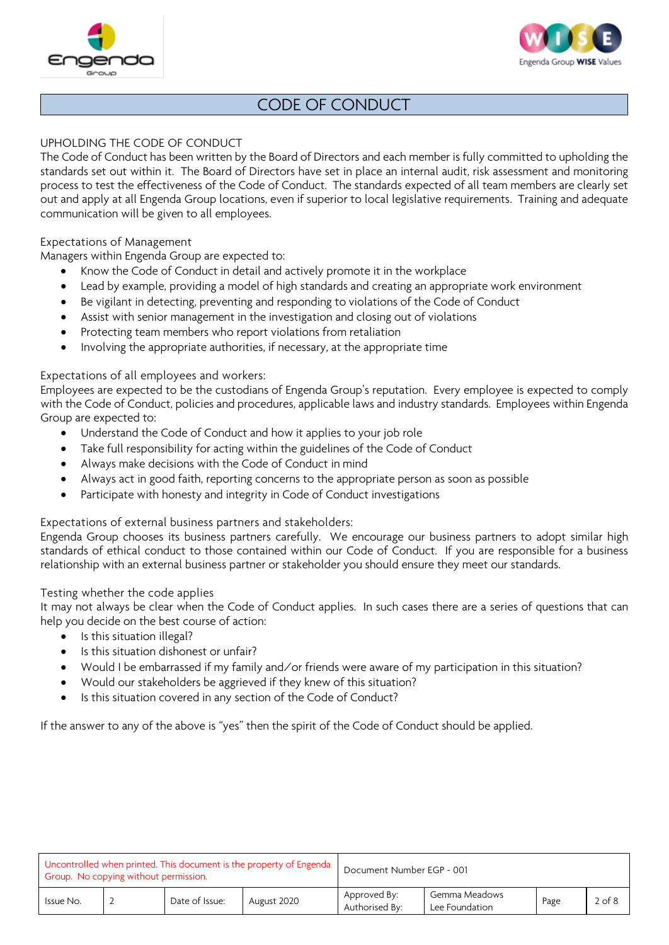



## UPHOLDING THE CODE OF CONDUCT

The Code of Conduct has been written by the Board of Directors and each member is fully committed to upholding the standards set out within it. The Board of Directors have set in place an internal audit, risk assessment and monitoring process to test the effectiveness of the Code of Conduct. The standards expected of all team members are clearly set out and apply at all Engenda Group locations, even if superior to local legislative requirements. Training and adequate communication will be given to all employees.

## Expectations of Management

Managers within Engenda Group are expected to:

- Know the Code of Conduct in detail and actively promote it in the workplace
- Lead by example, providing a model of high standards and creating an appropriate work environment
- Be vigilant in detecting, preventing and responding to violations of the Code of Conduct
- Assist with senior management in the investigation and closing out of violations
- Protecting team members who report violations from retaliation
- Involving the appropriate authorities, if necessary, at the appropriate time

## Expectations of all employees and workers:

Employees are expected to be the custodians of Engenda Group's reputation. Every employee is expected to comply with the Code of Conduct, policies and procedures, applicable laws and industry standards. Employees within Engenda Group are expected to:

- Understand the Code of Conduct and how it applies to your job role
- Take full responsibility for acting within the guidelines of the Code of Conduct
- Always make decisions with the Code of Conduct in mind
- Always act in good faith, reporting concerns to the appropriate person as soon as possible
- Participate with honesty and integrity in Code of Conduct investigations

### Expectations of external business partners and stakeholders:

Engenda Group chooses its business partners carefully. We encourage our business partners to adopt similar high standards of ethical conduct to those contained within our Code of Conduct. If you are responsible for a business relationship with an external business partner or stakeholder you should ensure they meet our standards.

### Testing whether the code applies

It may not always be clear when the Code of Conduct applies. In such cases there are a series of questions that can help you decide on the best course of action:

- Is this situation illegal?
- Is this situation dishonest or unfair?
- Would I be embarrassed if my family and/or friends were aware of my participation in this situation?
- Would our stakeholders be aggrieved if they knew of this situation?
- Is this situation covered in any section of the Code of Conduct?

If the answer to any of the above is "yes" then the spirit of the Code of Conduct should be applied.

| Uncontrolled when printed. This document is the property of Engenda  <br>Group. No copying without permission. |  |                |             | Document Number EGP - 001      |                                 |      |            |  |
|----------------------------------------------------------------------------------------------------------------|--|----------------|-------------|--------------------------------|---------------------------------|------|------------|--|
| Issue No.                                                                                                      |  | Date of Issue: | August 2020 | Approved By:<br>Authorised By: | Gemma Meadows<br>Lee Foundation | Page | $2$ of $8$ |  |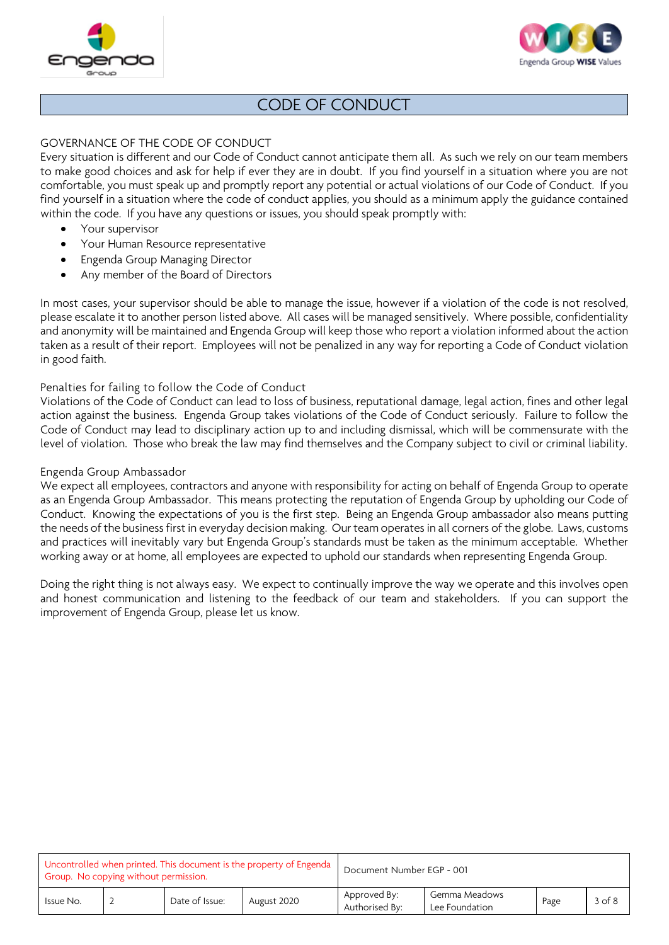



## GOVERNANCE OF THE CODE OF CONDUCT

Every situation is different and our Code of Conduct cannot anticipate them all. As such we rely on our team members to make good choices and ask for help if ever they are in doubt. If you find yourself in a situation where you are not comfortable, you must speak up and promptly report any potential or actual violations of our Code of Conduct. If you find yourself in a situation where the code of conduct applies, you should as a minimum apply the guidance contained within the code. If you have any questions or issues, you should speak promptly with:

- Your supervisor
- Your Human Resource representative
- Engenda Group Managing Director
- Any member of the Board of Directors

In most cases, your supervisor should be able to manage the issue, however if a violation of the code is not resolved, please escalate it to another person listed above. All cases will be managed sensitively. Where possible, confidentiality and anonymity will be maintained and Engenda Group will keep those who report a violation informed about the action taken as a result of their report. Employees will not be penalized in any way for reporting a Code of Conduct violation in good faith.

### Penalties for failing to follow the Code of Conduct

Violations of the Code of Conduct can lead to loss of business, reputational damage, legal action, fines and other legal action against the business. Engenda Group takes violations of the Code of Conduct seriously. Failure to follow the Code of Conduct may lead to disciplinary action up to and including dismissal, which will be commensurate with the level of violation. Those who break the law may find themselves and the Company subject to civil or criminal liability.

#### Engenda Group Ambassador

We expect all employees, contractors and anyone with responsibility for acting on behalf of Engenda Group to operate as an Engenda Group Ambassador. This means protecting the reputation of Engenda Group by upholding our Code of Conduct. Knowing the expectations of you is the first step. Being an Engenda Group ambassador also means putting the needs of the business first in everyday decision making. Our team operates in all corners of the globe. Laws, customs and practices will inevitably vary but Engenda Group's standards must be taken as the minimum acceptable. Whether working away or at home, all employees are expected to uphold our standards when representing Engenda Group.

Doing the right thing is not always easy. We expect to continually improve the way we operate and this involves open and honest communication and listening to the feedback of our team and stakeholders. If you can support the improvement of Engenda Group, please let us know.

| Uncontrolled when printed. This document is the property of Engenda<br>Group. No copying without permission. |  |                |             | Document Number EGP - 001      |                                 |      |            |  |
|--------------------------------------------------------------------------------------------------------------|--|----------------|-------------|--------------------------------|---------------------------------|------|------------|--|
| Issue No.                                                                                                    |  | Date of Issue: | August 2020 | Approved By:<br>Authorised By: | Gemma Meadows<br>Lee Foundation | Page | $3$ of $8$ |  |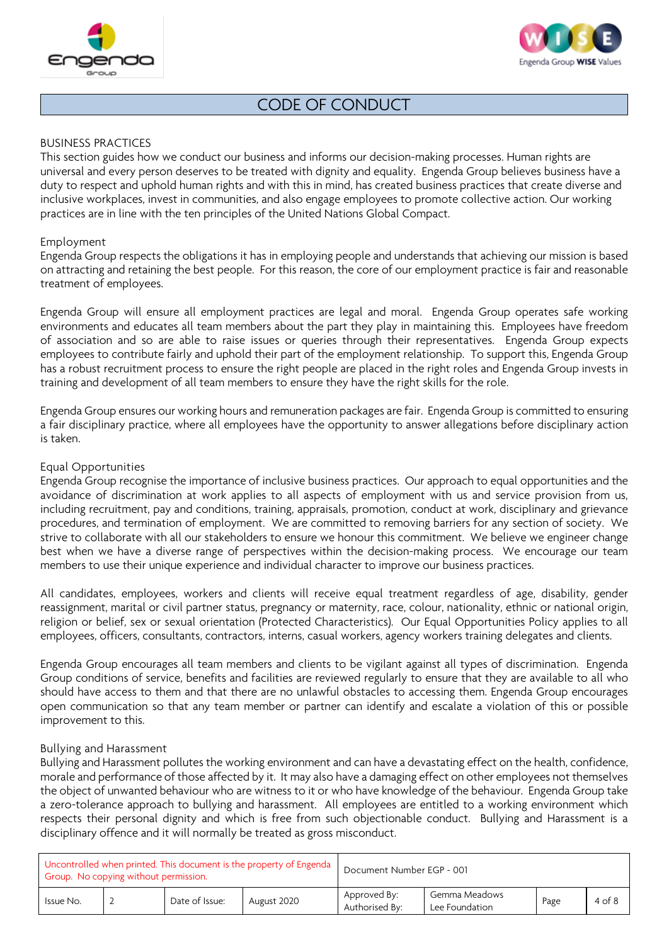



### BUSINESS PRACTICES

This section guides how we conduct our business and informs our decision-making processes. Human rights are universal and every person deserves to be treated with dignity and equality. Engenda Group believes business have a duty to respect and uphold human rights and with this in mind, has created business practices that create diverse and inclusive workplaces, invest in communities, and also engage employees to promote collective action. Our working practices are in line with the ten principles of the United Nations Global Compact.

#### Employment

Engenda Group respects the obligations it has in employing people and understands that achieving our mission is based on attracting and retaining the best people. For this reason, the core of our employment practice is fair and reasonable treatment of employees.

Engenda Group will ensure all employment practices are legal and moral. Engenda Group operates safe working environments and educates all team members about the part they play in maintaining this. Employees have freedom of association and so are able to raise issues or queries through their representatives. Engenda Group expects employees to contribute fairly and uphold their part of the employment relationship. To support this, Engenda Group has a robust recruitment process to ensure the right people are placed in the right roles and Engenda Group invests in training and development of all team members to ensure they have the right skills for the role.

Engenda Group ensures our working hours and remuneration packages are fair. Engenda Group is committed to ensuring a fair disciplinary practice, where all employees have the opportunity to answer allegations before disciplinary action is taken.

#### Equal Opportunities

Engenda Group recognise the importance of inclusive business practices. Our approach to equal opportunities and the avoidance of discrimination at work applies to all aspects of employment with us and service provision from us, including recruitment, pay and conditions, training, appraisals, promotion, conduct at work, disciplinary and grievance procedures, and termination of employment. We are committed to removing barriers for any section of society. We strive to collaborate with all our stakeholders to ensure we honour this commitment. We believe we engineer change best when we have a diverse range of perspectives within the decision-making process. We encourage our team members to use their unique experience and individual character to improve our business practices.

All candidates, employees, workers and clients will receive equal treatment regardless of age, disability, gender reassignment, marital or civil partner status, pregnancy or maternity, race, colour, nationality, ethnic or national origin, religion or belief, sex or sexual orientation (Protected Characteristics). Our Equal Opportunities Policy applies to all employees, officers, consultants, contractors, interns, casual workers, agency workers training delegates and clients.

Engenda Group encourages all team members and clients to be vigilant against all types of discrimination. Engenda Group conditions of service, benefits and facilities are reviewed regularly to ensure that they are available to all who should have access to them and that there are no unlawful obstacles to accessing them. Engenda Group encourages open communication so that any team member or partner can identify and escalate a violation of this or possible improvement to this.

#### Bullying and Harassment

Bullying and Harassment pollutes the working environment and can have a devastating effect on the health, confidence, morale and performance of those affected by it. It may also have a damaging effect on other employees not themselves the object of unwanted behaviour who are witness to it or who have knowledge of the behaviour. Engenda Group take a zero-tolerance approach to bullying and harassment. All employees are entitled to a working environment which respects their personal dignity and which is free from such objectionable conduct. Bullying and Harassment is a disciplinary offence and it will normally be treated as gross misconduct.

| Uncontrolled when printed. This document is the property of Engenda<br>Group. No copying without permission. |  |                |             | Document Number EGP - 001      |                                 |      |            |  |
|--------------------------------------------------------------------------------------------------------------|--|----------------|-------------|--------------------------------|---------------------------------|------|------------|--|
| Issue No.                                                                                                    |  | Date of Issue: | August 2020 | Approved By:<br>Authorised By: | Gemma Meadows<br>Lee Foundation | Page | $4$ of $8$ |  |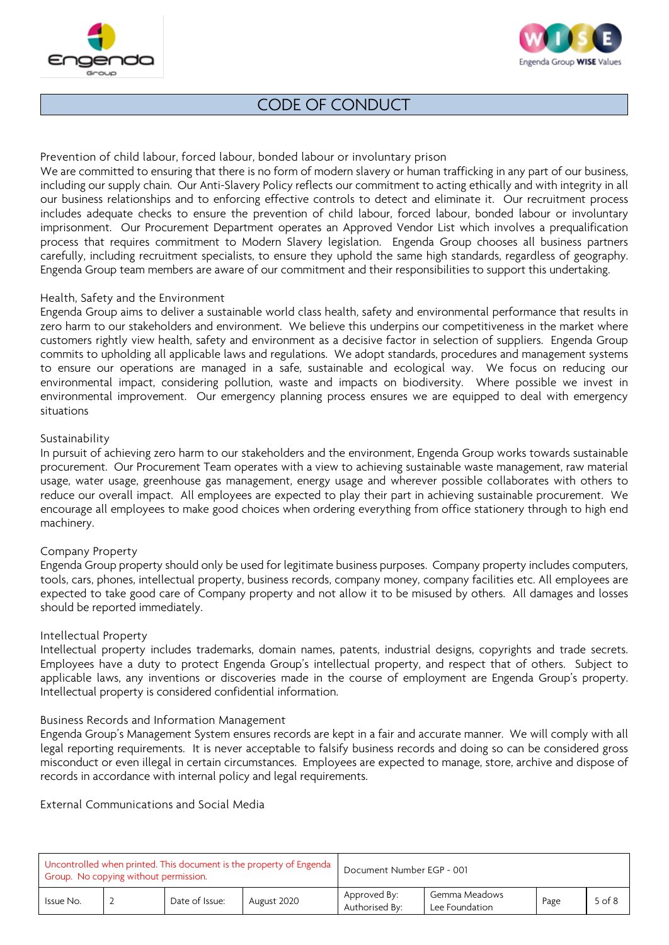



Prevention of child labour, forced labour, bonded labour or involuntary prison

We are committed to ensuring that there is no form of modern slavery or human trafficking in any part of our business, including our supply chain. Our Anti-Slavery Policy reflects our commitment to acting ethically and with integrity in all our business relationships and to enforcing effective controls to detect and eliminate it. Our recruitment process includes adequate checks to ensure the prevention of child labour, forced labour, bonded labour or involuntary imprisonment. Our Procurement Department operates an Approved Vendor List which involves a prequalification process that requires commitment to Modern Slavery legislation. Engenda Group chooses all business partners carefully, including recruitment specialists, to ensure they uphold the same high standards, regardless of geography. Engenda Group team members are aware of our commitment and their responsibilities to support this undertaking.

### Health, Safety and the Environment

Engenda Group aims to deliver a sustainable world class health, safety and environmental performance that results in zero harm to our stakeholders and environment. We believe this underpins our competitiveness in the market where customers rightly view health, safety and environment as a decisive factor in selection of suppliers. Engenda Group commits to upholding all applicable laws and regulations. We adopt standards, procedures and management systems to ensure our operations are managed in a safe, sustainable and ecological way. We focus on reducing our environmental impact, considering pollution, waste and impacts on biodiversity. Where possible we invest in environmental improvement. Our emergency planning process ensures we are equipped to deal with emergency situations

#### Sustainability

In pursuit of achieving zero harm to our stakeholders and the environment, Engenda Group works towards sustainable procurement. Our Procurement Team operates with a view to achieving sustainable waste management, raw material usage, water usage, greenhouse gas management, energy usage and wherever possible collaborates with others to reduce our overall impact. All employees are expected to play their part in achieving sustainable procurement. We encourage all employees to make good choices when ordering everything from office stationery through to high end machinery.

### Company Property

Engenda Group property should only be used for legitimate business purposes. Company property includes computers, tools, cars, phones, intellectual property, business records, company money, company facilities etc. All employees are expected to take good care of Company property and not allow it to be misused by others. All damages and losses should be reported immediately.

### Intellectual Property

Intellectual property includes trademarks, domain names, patents, industrial designs, copyrights and trade secrets. Employees have a duty to protect Engenda Group's intellectual property, and respect that of others. Subject to applicable laws, any inventions or discoveries made in the course of employment are Engenda Group's property. Intellectual property is considered confidential information.

#### Business Records and Information Management

Engenda Group's Management System ensures records are kept in a fair and accurate manner. We will comply with all legal reporting requirements. It is never acceptable to falsify business records and doing so can be considered gross misconduct or even illegal in certain circumstances. Employees are expected to manage, store, archive and dispose of records in accordance with internal policy and legal requirements.

External Communications and Social Media

| Uncontrolled when printed. This document is the property of Engenda<br>Group. No copying without permission. |  |                |             | Document Number EGP - 001      |                                 |      |            |  |
|--------------------------------------------------------------------------------------------------------------|--|----------------|-------------|--------------------------------|---------------------------------|------|------------|--|
| Issue No.                                                                                                    |  | Date of Issue: | August 2020 | Approved By:<br>Authorised By: | Gemma Meadows<br>Lee Foundation | Page | $5$ of $8$ |  |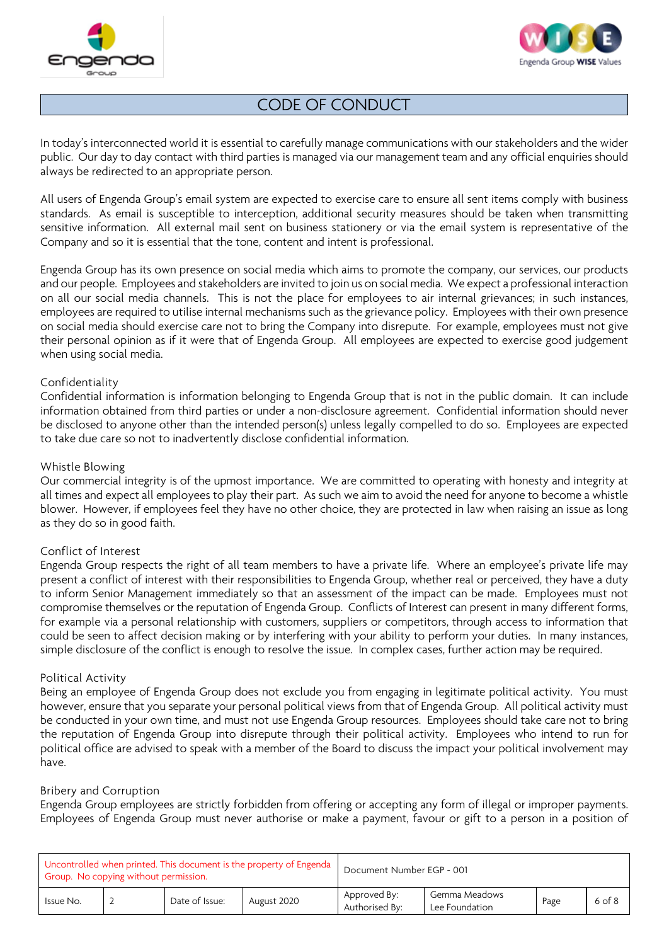



In today's interconnected world it is essential to carefully manage communications with our stakeholders and the wider public. Our day to day contact with third parties is managed via our management team and any official enquiries should always be redirected to an appropriate person.

All users of Engenda Group's email system are expected to exercise care to ensure all sent items comply with business standards. As email is susceptible to interception, additional security measures should be taken when transmitting sensitive information. All external mail sent on business stationery or via the email system is representative of the Company and so it is essential that the tone, content and intent is professional.

Engenda Group has its own presence on social media which aims to promote the company, our services, our products and our people. Employees and stakeholders are invited to join us on social media. We expect a professional interaction on all our social media channels. This is not the place for employees to air internal grievances; in such instances, employees are required to utilise internal mechanisms such as the grievance policy. Employees with their own presence on social media should exercise care not to bring the Company into disrepute. For example, employees must not give their personal opinion as if it were that of Engenda Group. All employees are expected to exercise good judgement when using social media.

#### Confidentiality

Confidential information is information belonging to Engenda Group that is not in the public domain. It can include information obtained from third parties or under a non-disclosure agreement. Confidential information should never be disclosed to anyone other than the intended person(s) unless legally compelled to do so. Employees are expected to take due care so not to inadvertently disclose confidential information.

#### Whistle Blowing

Our commercial integrity is of the upmost importance. We are committed to operating with honesty and integrity at all times and expect all employees to play their part. As such we aim to avoid the need for anyone to become a whistle blower. However, if employees feel they have no other choice, they are protected in law when raising an issue as long as they do so in good faith.

### Conflict of Interest

Engenda Group respects the right of all team members to have a private life. Where an employee's private life may present a conflict of interest with their responsibilities to Engenda Group, whether real or perceived, they have a duty to inform Senior Management immediately so that an assessment of the impact can be made. Employees must not compromise themselves or the reputation of Engenda Group. Conflicts of Interest can present in many different forms, for example via a personal relationship with customers, suppliers or competitors, through access to information that could be seen to affect decision making or by interfering with your ability to perform your duties. In many instances, simple disclosure of the conflict is enough to resolve the issue. In complex cases, further action may be required.

#### Political Activity

Being an employee of Engenda Group does not exclude you from engaging in legitimate political activity. You must however, ensure that you separate your personal political views from that of Engenda Group. All political activity must be conducted in your own time, and must not use Engenda Group resources. Employees should take care not to bring the reputation of Engenda Group into disrepute through their political activity. Employees who intend to run for political office are advised to speak with a member of the Board to discuss the impact your political involvement may have.

### Bribery and Corruption

Engenda Group employees are strictly forbidden from offering or accepting any form of illegal or improper payments. Employees of Engenda Group must never authorise or make a payment, favour or gift to a person in a position of

| Uncontrolled when printed. This document is the property of Engenda<br>Group. No copying without permission. |  |                |             | Document Number EGP - 001      |                                 |      |            |  |
|--------------------------------------------------------------------------------------------------------------|--|----------------|-------------|--------------------------------|---------------------------------|------|------------|--|
| Issue No.                                                                                                    |  | Date of Issue: | August 2020 | Approved By:<br>Authorised By: | Gemma Meadows<br>Lee Foundation | Page | $6$ of $8$ |  |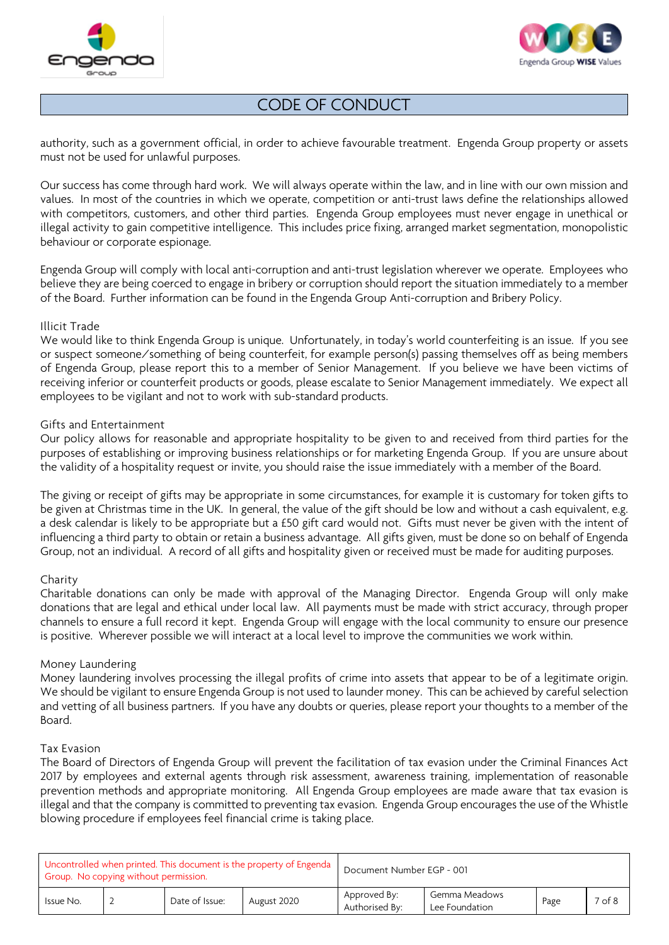



authority, such as a government official, in order to achieve favourable treatment. Engenda Group property or assets must not be used for unlawful purposes.

Our success has come through hard work. We will always operate within the law, and in line with our own mission and values. In most of the countries in which we operate, competition or anti-trust laws define the relationships allowed with competitors, customers, and other third parties. Engenda Group employees must never engage in unethical or illegal activity to gain competitive intelligence. This includes price fixing, arranged market segmentation, monopolistic behaviour or corporate espionage.

Engenda Group will comply with local anti-corruption and anti-trust legislation wherever we operate. Employees who believe they are being coerced to engage in bribery or corruption should report the situation immediately to a member of the Board. Further information can be found in the Engenda Group Anti-corruption and Bribery Policy.

### Illicit Trade

We would like to think Engenda Group is unique. Unfortunately, in today's world counterfeiting is an issue. If you see or suspect someone/something of being counterfeit, for example person(s) passing themselves off as being members of Engenda Group, please report this to a member of Senior Management. If you believe we have been victims of receiving inferior or counterfeit products or goods, please escalate to Senior Management immediately. We expect all employees to be vigilant and not to work with sub-standard products.

### Gifts and Entertainment

Our policy allows for reasonable and appropriate hospitality to be given to and received from third parties for the purposes of establishing or improving business relationships or for marketing Engenda Group. If you are unsure about the validity of a hospitality request or invite, you should raise the issue immediately with a member of the Board.

The giving or receipt of gifts may be appropriate in some circumstances, for example it is customary for token gifts to be given at Christmas time in the UK. In general, the value of the gift should be low and without a cash equivalent, e.g. a desk calendar is likely to be appropriate but a £50 gift card would not. Gifts must never be given with the intent of influencing a third party to obtain or retain a business advantage. All gifts given, must be done so on behalf of Engenda Group, not an individual. A record of all gifts and hospitality given or received must be made for auditing purposes.

### Charity

Charitable donations can only be made with approval of the Managing Director. Engenda Group will only make donations that are legal and ethical under local law. All payments must be made with strict accuracy, through proper channels to ensure a full record it kept. Engenda Group will engage with the local community to ensure our presence is positive. Wherever possible we will interact at a local level to improve the communities we work within.

### Money Laundering

Money laundering involves processing the illegal profits of crime into assets that appear to be of a legitimate origin. We should be vigilant to ensure Engenda Group is not used to launder money. This can be achieved by careful selection and vetting of all business partners. If you have any doubts or queries, please report your thoughts to a member of the Board.

### Tax Evasion

The Board of Directors of Engenda Group will prevent the facilitation of tax evasion under the Criminal Finances Act 2017 by employees and external agents through risk assessment, awareness training, implementation of reasonable prevention methods and appropriate monitoring. All Engenda Group employees are made aware that tax evasion is illegal and that the company is committed to preventing tax evasion. Engenda Group encourages the use of the Whistle blowing procedure if employees feel financial crime is taking place.

| Uncontrolled when printed. This document is the property of Engenda<br>Group. No copying without permission. |  |                |             | Document Number EGP - 001      |                                 |      |                   |  |
|--------------------------------------------------------------------------------------------------------------|--|----------------|-------------|--------------------------------|---------------------------------|------|-------------------|--|
| Issue No.                                                                                                    |  | Date of Issue: | August 2020 | Approved By:<br>Authorised By: | Gemma Meadows<br>Lee Foundation | Page | 7 <sub>of</sub> 8 |  |